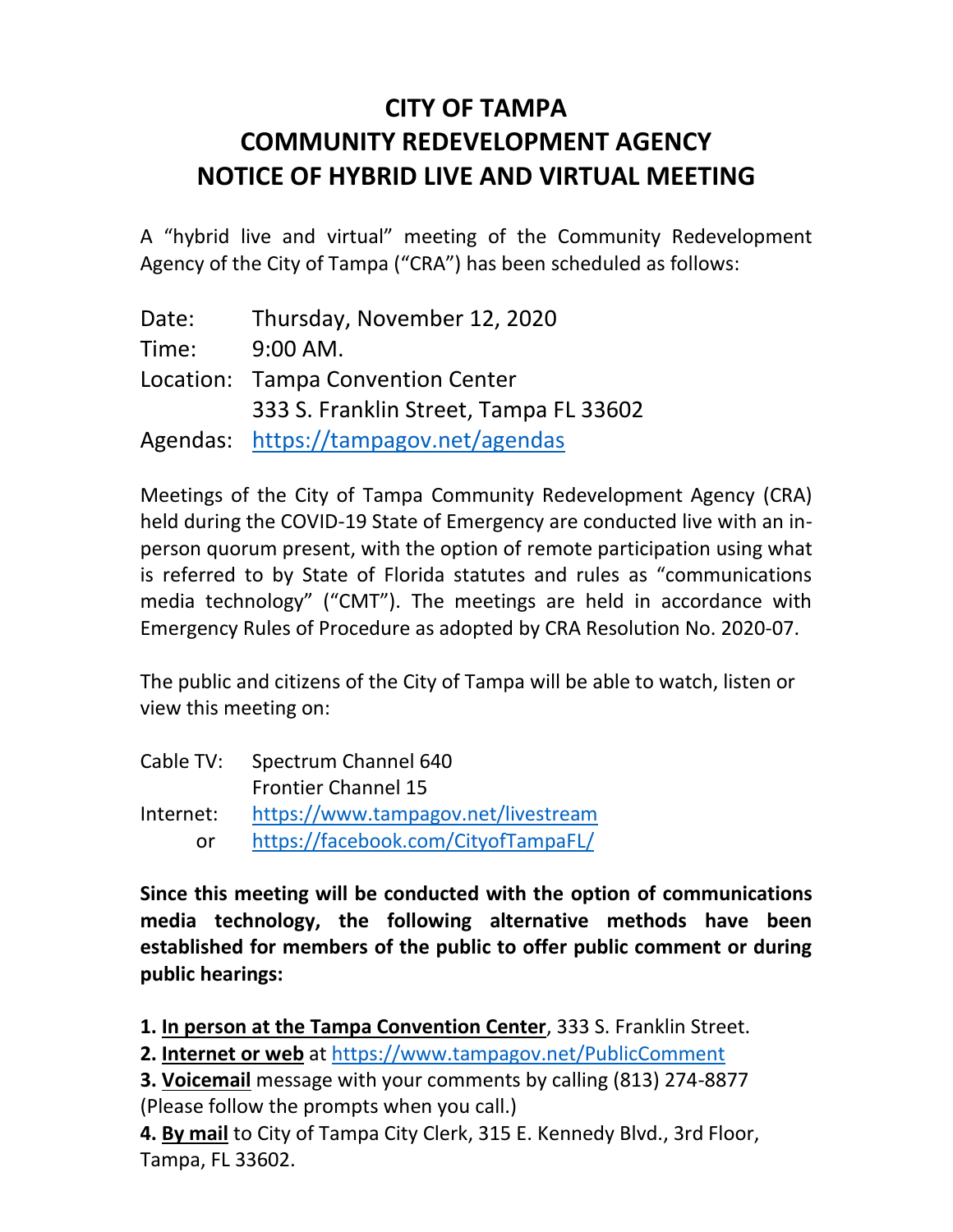## **CITY OF TAMPA COMMUNITY REDEVELOPMENT AGENCY NOTICE OF HYBRID LIVE AND VIRTUAL MEETING**

A "hybrid live and virtual" meeting of the Community Redevelopment Agency of the City of Tampa ("CRA") has been scheduled as follows:

Date: Thursday, November 12, 2020 Time: 9:00 AM. Location: Tampa Convention Center 333 S. Franklin Street, Tampa FL 33602 Agendas: <https://tampagov.net/agendas>

Meetings of the City of Tampa Community Redevelopment Agency (CRA) held during the COVID-19 State of Emergency are conducted live with an inperson quorum present, with the option of remote participation using what is referred to by State of Florida statutes and rules as "communications media technology" ("CMT"). The meetings are held in accordance with Emergency Rules of Procedure as adopted by CRA Resolution No. 2020-07.

The public and citizens of the City of Tampa will be able to watch, listen or view this meeting on:

| Cable TV: | Spectrum Channel 640                |
|-----------|-------------------------------------|
|           | <b>Frontier Channel 15</b>          |
| Internet: | https://www.tampagov.net/livestream |
| nr.       | https://facebook.com/CityofTampaFL/ |

**Since this meeting will be conducted with the option of communications media technology, the following alternative methods have been established for members of the public to offer public comment or during public hearings:**

**1. In person at the Tampa Convention Center**, 333 S. Franklin Street.

**2. Internet or web** at<https://www.tampagov.net/PublicComment>

**3. Voicemail** message with your comments by calling (813) 274-8877 (Please follow the prompts when you call.)

**4. By mail** to City of Tampa City Clerk, 315 E. Kennedy Blvd., 3rd Floor, Tampa, FL 33602.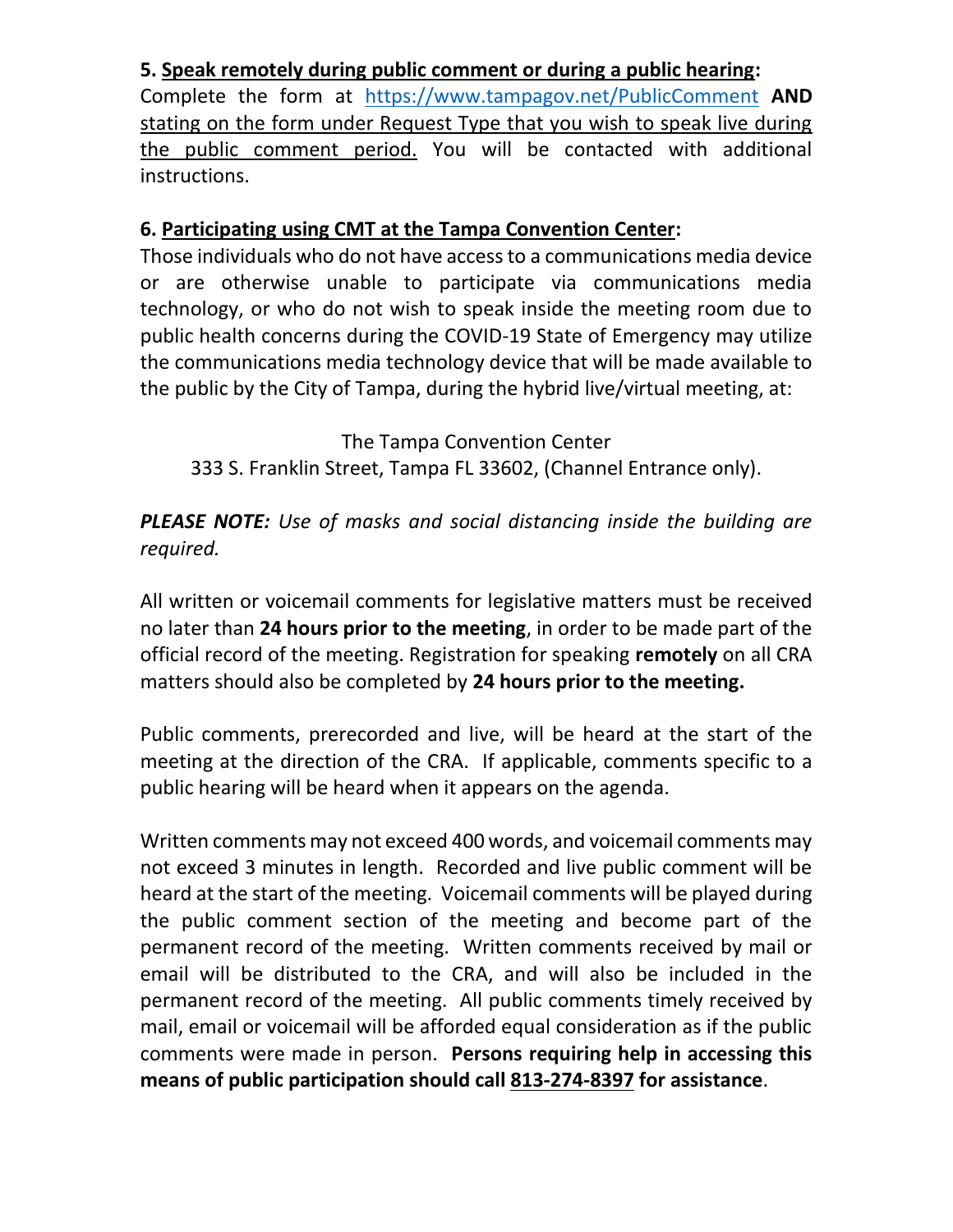## **5. Speak remotely during public comment or during a public hearing:**

Complete the form at <https://www.tampagov.net/PublicComment> **AND** stating on the form under Request Type that you wish to speak live during the public comment period. You will be contacted with additional instructions.

## **6. Participating using CMT at the Tampa Convention Center:**

Those individuals who do not have access to a communications media device or are otherwise unable to participate via communications media technology, or who do not wish to speak inside the meeting room due to public health concerns during the COVID-19 State of Emergency may utilize the communications media technology device that will be made available to the public by the City of Tampa, during the hybrid live/virtual meeting, at:

The Tampa Convention Center 333 S. Franklin Street, Tampa FL 33602, (Channel Entrance only).

*PLEASE NOTE: Use of masks and social distancing inside the building are required.*

All written or voicemail comments for legislative matters must be received no later than **24 hours prior to the meeting**, in order to be made part of the official record of the meeting. Registration for speaking **remotely** on all CRA matters should also be completed by **24 hours prior to the meeting.**

Public comments, prerecorded and live, will be heard at the start of the meeting at the direction of the CRA. If applicable, comments specific to a public hearing will be heard when it appears on the agenda.

Written comments may not exceed 400 words, and voicemail comments may not exceed 3 minutes in length. Recorded and live public comment will be heard at the start of the meeting. Voicemail comments will be played during the public comment section of the meeting and become part of the permanent record of the meeting. Written comments received by mail or email will be distributed to the CRA, and will also be included in the permanent record of the meeting. All public comments timely received by mail, email or voicemail will be afforded equal consideration as if the public comments were made in person. **Persons requiring help in accessing this means of public participation should call 813-274-8397 for assistance**.